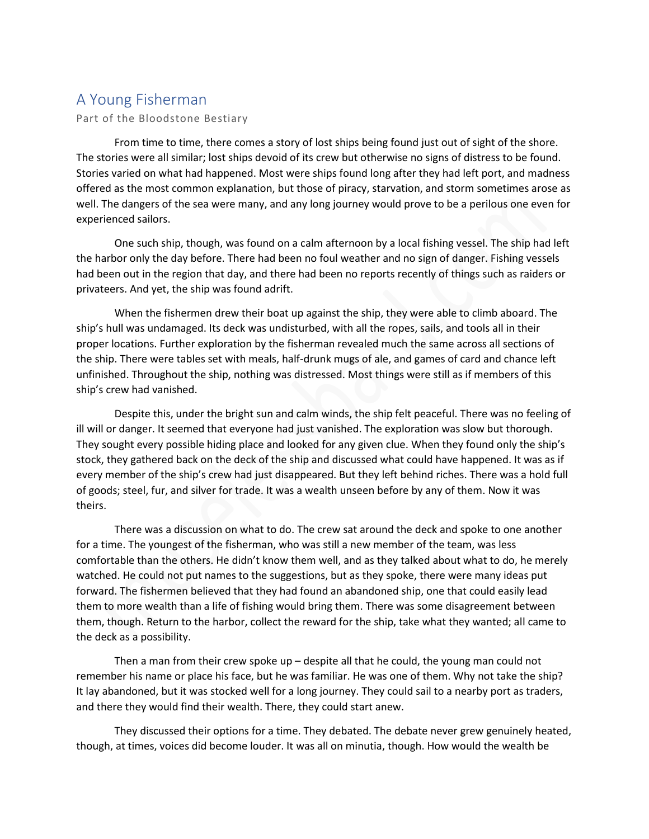## A Young Fisherman

## Part of the Bloodstone Bestiary

From time to time, there comes a story of lost ships being found just out of sight of the shore. The stories were all similar; lost ships devoid of its crew but otherwise no signs of distress to be found. Stories varied on what had happened. Most were ships found long after they had left port, and madness offered as the most common explanation, but those of piracy, starvation, and storm sometimes arose as well. The dangers of the sea were many, and any long journey would prove to be a perilous one even for experienced sailors.

One such ship, though, was found on a calm afternoon by a local fishing vessel. The ship had left the harbor only the day before. There had been no foul weather and no sign of danger. Fishing vessels had been out in the region that day, and there had been no reports recently of things such as raiders or privateers. And yet, the ship was found adrift.

When the fishermen drew their boat up against the ship, they were able to climb aboard. The ship's hull was undamaged. Its deck was undisturbed, with all the ropes, sails, and tools all in their proper locations. Further exploration by the fisherman revealed much the same across all sections of the ship. There were tables set with meals, half-drunk mugs of ale, and games of card and chance left unfinished. Throughout the ship, nothing was distressed. Most things were still as if members of this ship's crew had vanished.

Despite this, under the bright sun and calm winds, the ship felt peaceful. There was no feeling of ill will or danger. It seemed that everyone had just vanished. The exploration was slow but thorough. They sought every possible hiding place and looked for any given clue. When they found only the ship's stock, they gathered back on the deck of the ship and discussed what could have happened. It was as if every member of the ship's crew had just disappeared. But they left behind riches. There was a hold full of goods; steel, fur, and silver for trade. It was a wealth unseen before by any of them. Now it was theirs.

There was a discussion on what to do. The crew sat around the deck and spoke to one another for a time. The youngest of the fisherman, who was still a new member of the team, was less comfortable than the others. He didn't know them well, and as they talked about what to do, he merely watched. He could not put names to the suggestions, but as they spoke, there were many ideas put forward. The fishermen believed that they had found an abandoned ship, one that could easily lead them to more wealth than a life of fishing would bring them. There was some disagreement between them, though. Return to the harbor, collect the reward for the ship, take what they wanted; all came to the deck as a possibility.

Then a man from their crew spoke  $up$  – despite all that he could, the young man could not remember his name or place his face, but he was familiar. He was one of them. Why not take the ship? It lay abandoned, but it was stocked well for a long journey. They could sail to a nearby port as traders, and there they would find their wealth. There, they could start anew.

They discussed their options for a time. They debated. The debate never grew genuinely heated, though, at times, voices did become louder. It was all on minutia, though. How would the wealth be